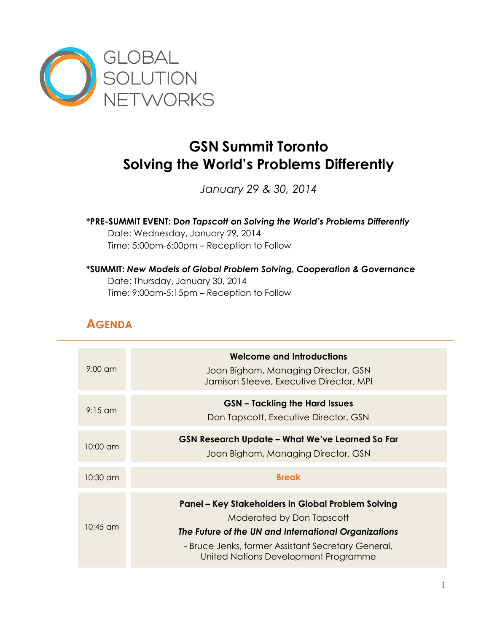

# **GSN Summit Toronto Solving the World's Problems Differently**

*January 29 & 30, 2014*

**\*PRE-SUMMIT EVENT:** *Don Tapscott on Solving the World's Problems Differently*  Date: Wednesday, January 29, 2014 Time: 5:00pm-6:00pm – Reception to Follow

#### **\*SUMMIT:** *New Models of Global Problem Solving, Cooperation & Governance* Date: Thursday, January 30, 2014 Time: 9:00am-5:15pm – Reception to Follow

## **AGENDA**

| $9:00 \text{ cm}$  | <b>Welcome and Introductions</b><br>Joan Bigham, Managing Director, GSN<br>Jamison Steeve, Executive Director, MPI                                                                                                                    |
|--------------------|---------------------------------------------------------------------------------------------------------------------------------------------------------------------------------------------------------------------------------------|
| $9:15$ am          | <b>GSN</b> – Tackling the Hard Issues<br>Don Tapscott, Executive Director, GSN                                                                                                                                                        |
| $10:00 \text{ cm}$ | <b>GSN Research Update - What We've Learned So Far</b><br>Joan Bigham, Managing Director, GSN                                                                                                                                         |
| $10:30$ am         | <b>Break</b>                                                                                                                                                                                                                          |
| $10:45$ am         | Panel – Key Stakeholders in Global Problem Solving<br>Moderated by Don Tapscott<br>The Future of the UN and International Organizations<br>- Bruce Jenks, former Assistant Secretary General,<br>United Nations Development Programme |